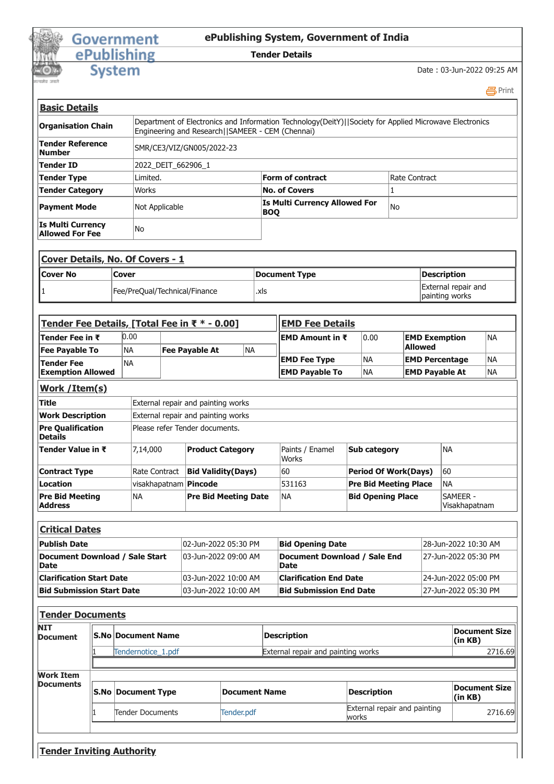## **Government** ePublishing

## **ePublishing System, Government of India**

## **Tender Details**

**System** 

Date : 03-Jun-2022 09:25 AM

|                           | 昌Print                                                                                                                                                      |
|---------------------------|-------------------------------------------------------------------------------------------------------------------------------------------------------------|
| <u>Basic Details</u>      |                                                                                                                                                             |
| <b>Organisation Chain</b> | Department of Electronics and Information Technology(DeitY)  Society for Applied Microwave Electronics<br>Engineering and Research   SAMEER - CEM (Chennai) |
| Tender Reference          | SMR/CE3/VI7/GN005/2022-23                                                                                                                                   |

| <b>Tender Reference</b><br><b>Number</b>           | SMR/CE3/VIZ/GN005/2022-23 |                                              |               |
|----------------------------------------------------|---------------------------|----------------------------------------------|---------------|
| <b>Tender ID</b>                                   | 2022 DEIT 662906 1        |                                              |               |
| Tender Type                                        | Limited.                  | <b>Form of contract</b>                      | Rate Contract |
| <b>Tender Category</b>                             | Works                     | <b>No. of Covers</b>                         |               |
| <b>Payment Mode</b>                                | Not Applicable            | <b>Is Multi Currency Allowed For</b><br> BOQ | lNo           |
| <b>Is Multi Currency</b><br><b>Allowed For Fee</b> | lNo                       |                                              |               |

| <b>Cover Details, No. Of Covers - 1</b> |                               |               |                                       |  |  |
|-----------------------------------------|-------------------------------|---------------|---------------------------------------|--|--|
| <b>ICover No</b>                        | Cover                         | Document Type | Description                           |  |  |
|                                         | Fee/PreQual/Technical/Finance | .xls          | External repair and<br>painting works |  |  |

| Tender Fee Details, [Total Fee in ₹ * - 0.00]  |               |                                    |                             |                       | <b>EMD Fee Details</b>                      |                                                       |                             |                              |                                     |  |
|------------------------------------------------|---------------|------------------------------------|-----------------------------|-----------------------|---------------------------------------------|-------------------------------------------------------|-----------------------------|------------------------------|-------------------------------------|--|
| Tender Fee in ₹                                | 0.00          |                                    |                             | EMD Amount in ₹       |                                             | 0.00                                                  |                             | NA<br><b>EMD Exemption</b>   |                                     |  |
| <b>Fee Payable To</b>                          | <b>NA</b>     |                                    | <b>Fee Payable At</b>       | <b>NA</b>             |                                             |                                                       |                             | <b>Allowed</b>               |                                     |  |
| <b>Tender Fee</b>                              | <b>NA</b>     |                                    |                             |                       | <b>EMD Fee Type</b>                         |                                                       | <b>NA</b>                   |                              | <b>INA</b><br><b>EMD Percentage</b> |  |
| <b>Exemption Allowed</b>                       |               |                                    |                             | <b>EMD Payable To</b> |                                             | <b>NA</b>                                             |                             | <b>EMD Payable At</b><br>INA |                                     |  |
| Work / Item(s)                                 |               |                                    |                             |                       |                                             |                                                       |                             |                              |                                     |  |
| Title                                          |               | External repair and painting works |                             |                       |                                             |                                                       |                             |                              |                                     |  |
| <b>Work Description</b>                        |               | External repair and painting works |                             |                       |                                             |                                                       |                             |                              |                                     |  |
| <b>Pre Qualification</b><br><b>Details</b>     |               | Please refer Tender documents.     |                             |                       |                                             |                                                       |                             |                              |                                     |  |
| <b>Tender Value in ₹</b>                       | 7,14,000      |                                    | <b>Product Category</b>     |                       | Paints / Enamel<br>Works                    |                                                       | <b>Sub category</b>         |                              | INA                                 |  |
| <b>Contract Type</b>                           | Rate Contract |                                    | <b>Bid Validity (Days)</b>  |                       | 60                                          |                                                       | <b>Period Of Work(Days)</b> |                              | 60                                  |  |
| Location                                       |               |                                    | visakhapatnam   Pincode     |                       | 531163                                      | <b>Pre Bid Meeting Place</b><br>İNA                   |                             |                              |                                     |  |
| <b>Pre Bid Meeting</b><br><b>Address</b>       | <b>NA</b>     |                                    | <b>Pre Bid Meeting Date</b> |                       | <b>NA</b>                                   | <b>Bid Opening Place</b><br>SAMFFR -<br>Visakhapatnam |                             |                              |                                     |  |
|                                                |               |                                    |                             |                       |                                             |                                                       |                             |                              |                                     |  |
| <b>Critical Dates</b>                          |               |                                    |                             |                       |                                             |                                                       |                             |                              |                                     |  |
| <b>Publish Date</b>                            |               |                                    | 02-Jun-2022 05:30 PM        |                       | <b>Bid Opening Date</b>                     |                                                       |                             | 28-Jun-2022 10:30 AM         |                                     |  |
| Document Download / Sale Start<br><b>IDate</b> |               |                                    | 03-Jun-2022 09:00 AM        |                       | Document Download / Sale End<br><b>Date</b> |                                                       |                             | 27-Jun-2022 05:30 PM         |                                     |  |
| <b>Clarification Start Date</b>                |               |                                    | 03-Jun-2022 10:00 AM        |                       | <b>Clarification End Date</b>               |                                                       |                             | 24-Jun-2022 05:00 PM         |                                     |  |
| <b>Bid Submission Start Date</b>               |               |                                    | 03-Jun-2022 10:00 AM        |                       | <b>Bid Submission End Date</b>              |                                                       |                             |                              | 27-Jun-2022 05:30 PM                |  |

| <b>NIT</b><br><b>Document</b> | <b>IS.No Document Name</b> |                      | <b>Description</b>                 |                          |  |
|-------------------------------|----------------------------|----------------------|------------------------------------|--------------------------|--|
|                               | Tendernotice 1.pdf         |                      | External repair and painting works | 2716.69                  |  |
| <b>Work Item</b>              |                            |                      |                                    |                          |  |
|                               |                            |                      |                                    |                          |  |
| <b>Documents</b>              | <b>S.No Document Type</b>  | <b>Document Name</b> | <b>Description</b>                 | Document Size<br>(in KB) |  |